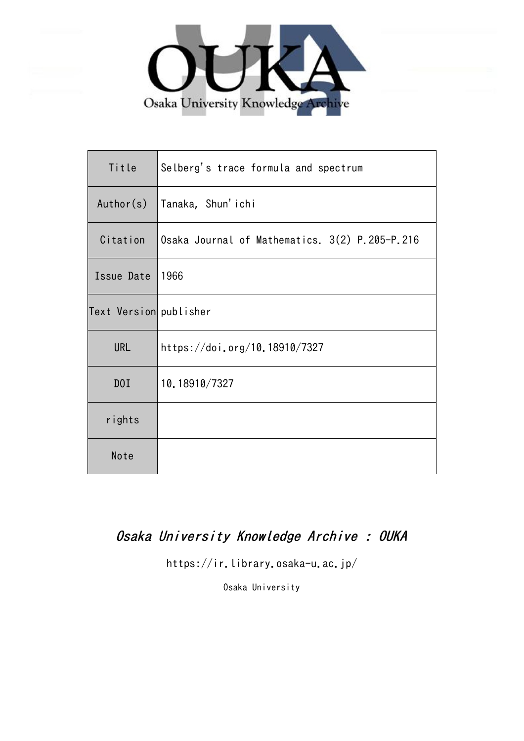

| Title                  | Selberg's trace formula and spectrum           |
|------------------------|------------------------------------------------|
| Author(s)              | Tanaka, Shun'ichi                              |
| Citation               | Osaka Journal of Mathematics. 3(2) P.205-P.216 |
| Issue Date             | 1966                                           |
| Text Version publisher |                                                |
| <b>URL</b>             | https://doi.org/10.18910/7327                  |
| DOI                    | 10.18910/7327                                  |
| rights                 |                                                |
| Note                   |                                                |

# Osaka University Knowledge Archive : OUKA

https://ir.library.osaka-u.ac.jp/

Osaka University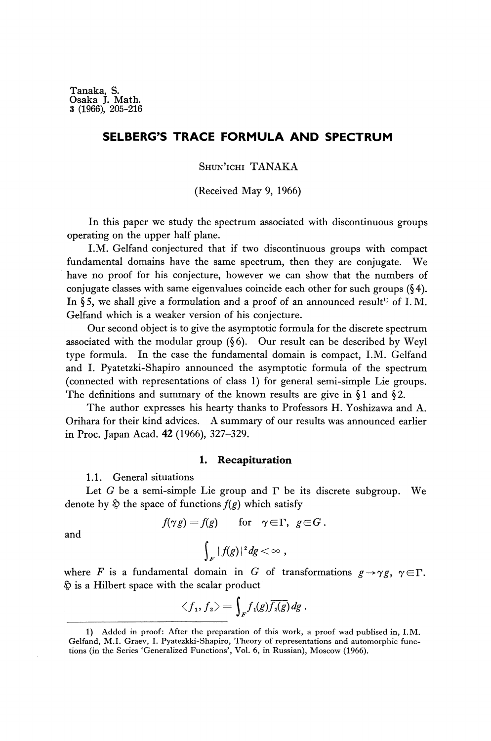# **SELBERG'S TRACE FORMULA AND SPECTRUM**

## SHUN'ICHI TANAKA

(Received May 9, 1966)

In this paper we study the spectrum associated with discontinuous groups operating on the upper half plane.

I.M. Gelfand conjectured that if two discontinuous groups with compact fundamental domains have the same spectrum, then they are conjugate. We have no proof for his conjecture, however we can show that the numbers of conjugate classes with same eigenvalues coincide each other for such groups (§4). In §5, we shall give a formulation and a proof of an announced result<sup>1)</sup> of I.M. Gelfand which is a weaker version of his conjecture.

Our second object is to give the asymptotic formula for the discrete spectrum associated with the modular group  $(\S 6)$ . Our result can be described by Weyl type formula. In the case the fundamental domain is compact, I.M. Gelfand and I. Pyatetzki-Shapiro announced the asymptotic formula of the spectrum (connected with representations of class 1) for general semi-simple Lie groups. The definitions and summary of the known results are give in  $\S 1$  and  $\S 2$ .

The author expresses his hearty thanks to Professors H. Yoshizawa and A. Orihara for their kind advices. A summary of our results was announced earlier in Proc. Japan Acad. 42 (1966), 327-329.

#### **1. Recapituration**

1.1. General situations

Let *G* be a semi-simple Lie group and Γ be its discrete subgroup. We denote by  $\hat{\varphi}$  the space of functions  $f(g)$  which satisfy

$$
f(\gamma g) = f(g) \quad \text{for} \quad \gamma \in \Gamma, \ g \in G
$$

$$
\int_{F} |f(g)|^2 dg < \infty ,
$$

and

where *F* is a fundamental domain in *G* of transformations  $g \rightarrow \gamma g$ ,  $\gamma \in \Gamma$ .  $\hat{\mathfrak{D}}$  is a Hilbert space with the scalar product

$$
\langle f_1, f_2 \rangle = \int_F f_1(g) \overline{f_2(g)} dg
$$

<sup>1)</sup> Added in proof: After the preparation of this work, a proof wad publised in, I.M. Gelfand, M.I. Graev, I. Pyatezkki-Shapiro, Theory of representations and automorphic func tions (in the Series 'Generalized Functions', Vol. 6, in Russian), Moscow (1966).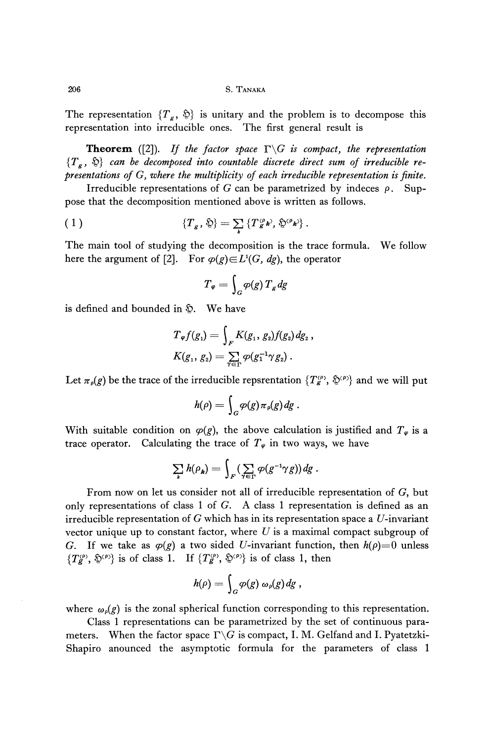206 S. TANAKA

The representation  $\{T_g, \, \hat{\mathfrak{D}}\}$  is unitary and the problem is to decompose this representation into irreducible ones. The first general result is

**Theorem** ([2]). If the factor space  $\Gamma \backslash G$  is compact, the representation  $\{T_{\bm g}$  ,  $\hat{\bm \triangledown}\}$  can be decomposed into countable discrete direct sum of irreducible re*presentations of G, where the multiplicity of each irreducible representation is finite.*

Irreducible representations of *G* can be parametrized by indeces  $\rho$ . Suppose that the decomposition mentioned above is written as follows.

(1) 
$$
\{T_g,\,\mathfrak{H}\}=\sum_k\{T_g^{\,0}\mathbf{k}^\prime,\,\mathfrak{H}^{\,0}\mathbf{k}^\prime\}.
$$

The main tool of studying the decomposition is the trace formula. We follow here the argument of [2]. For  $\varphi(g) \in L^1(G, dg)$ , the operator

$$
T_{\varphi} = \int_{G} \varphi(g) \, T_{g} \, dg
$$

is defined and bounded in  $\hat{p}$ . We have

$$
T_{\varphi}f(g_1)=\int\limits_{F}K(g_1,\,g_2)f(g_2)\,dg_2\,,\\ K(g_1,\,g_2)=\sum\limits_{\gamma\in\Gamma}\varphi(g_1^{-1}\gamma\,g_2)\,.
$$

Let  $\pi_{\rho}(g)$  be the trace of the irreducible repsrentation  $\{T_g^{\rho\rho}, \mathcal{D}^{\rho\rho}\}\$  and we will put

$$
h(\rho)=\int_G \varphi(g)\pi_\rho(g)dg.
$$

With suitable condition on  $\varphi(g)$ , the above calculation is justified and  $T_{\varphi}$  is a trace operator. Calculating the trace of  $T_{\varphi}$  in two ways, we have

$$
\sum_{k} h(\rho_k) = \int_{F} (\sum_{\gamma \in \Gamma} \varphi(g^{-1} \gamma g)) dg.
$$

From now on let us consider not all of irreducible representation of G, but only representations of class 1 of G. A class 1 representation is defined as an irreducible representation of  $G$  which has in its representation space a  $U$ -invariant vector unique up to constant factor, where *U* is a maximal compact subgroup of G. If we take as  $\varphi(g)$  a two sided U-invariant function, then  $h(\rho)=0$  unless  ${T_g^{(p)}, \hat{\psi}^{(p)}}$  is of class 1. If  ${T_g^{(p)}, \hat{\psi}^{(p)}}$  is of class 1, then

$$
h(\rho)=\int_G \varphi(g)\,\omega_{\rho}(g)\,dg\ ,
$$

where  $\omega_{\rho}(g)$  is the zonal spherical function corresponding to this representation.

Class 1 representations can be parametrized by the set of continuous para meters. When the factor space  $\Gamma \backslash G$  is compact, I. M. Gelfand and I. Pyatetzki-Shapiro anounced the asymptotic formula for the parameters of class 1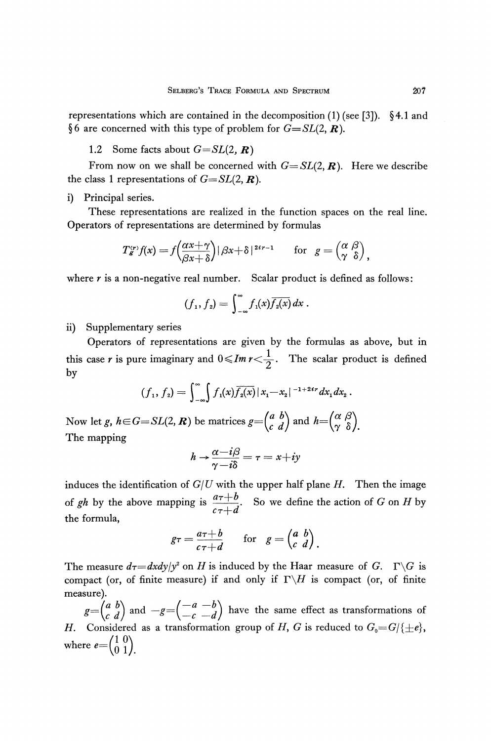representations which are contained in the decomposition  $(1)$  (see [3]). §4.1 and §6 are concerned with this type of problem for  $G = SL(2, \mathbb{R})$ .

1.2 Some facts about *G=SL(2, R)*

From now on we shall be concerned with  $G = SL(2, \mathbb{R})$ . Here we describe the class 1 representations of  $G=SL(2, \mathbb{R})$ .

i) Principal series.

These representations are realized in the function spaces on the real line. Operators of representations are determined by formulas

$$
T_g^{(r)}f(x) = f\left(\frac{\alpha x + \gamma}{\beta x + \delta}\right) |\beta x + \delta|^{2ir-1} \quad \text{for} \quad g = \begin{pmatrix} \alpha & \beta \\ \gamma & \delta \end{pmatrix},
$$

where  $r$  is a non-negative real number. Scalar product is defined as follows:

$$
(f_1,f_2)=\int_{-\infty}^{\infty}f_1(x)\overline{f_2(x)}\,dx.
$$

ii) Supplementary series

Operators of representations are given by the formulas as above, but in this case *r* is pure imaginary and  $0 \leq Im \, r < \frac{1}{2}$ . The scalar product is defined by

$$
(f_1, f_2) = \int_{-\infty}^{\infty} \int f_1(x) \overline{f_2(x)} |x_1 - x_2|^{-1+2\iota r} dx_1 dx_2.
$$

Now let g,  $h \in G = SL(2, R)$  be matrices  $g = \begin{pmatrix} a & b \\ c & d \end{pmatrix}$  and  $h =$ The mapping

$$
h \rightarrow \frac{\alpha - i\beta}{\gamma - i\delta} = \tau = x + iy
$$

induces the identification of *G/U* with the upper half plane *H.* Then the image of gh by the above mapping is  $\frac{a\tau + b}{\tau}$ . So we define the action of *G* on *H* by  $c\tau+d$ the formula,

$$
g\tau = \frac{a\tau + b}{c\tau + d}
$$
 for  $g = \begin{pmatrix} a & b \\ c & d \end{pmatrix}$ .

The measure  $d\tau = dxdy/y^2$  on *H* is induced by the Haar measure of *G*.  $\Gamma \backslash G$  is compact (or, of finite measure) if and only if  $\Gamma \backslash H$  is compact (or, of finite measure).

 $g = \begin{pmatrix} a & b \\ c & d \end{pmatrix}$  and  $-g = \begin{pmatrix} -a & -b \\ c & d \end{pmatrix}$  have the same effect as transformations of *H.* Considered as a transformation group of *H*, *G* is reduced to  $G_0 = G / \{\pm e\}$ , where  $e = \begin{pmatrix} 1 & 0 \\ 0 & 1 \end{pmatrix}$ .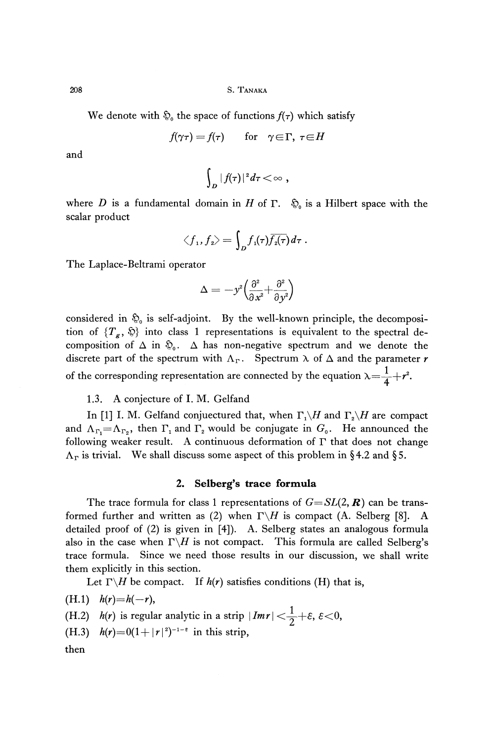208 S. TANAKA

We denote with  $\mathfrak{D}_0$  the space of functions  $f(\tau)$  which satisfy

 $f(\gamma \tau) = f(\tau)$  for  $\gamma \in \Gamma$ ,  $\tau \in H$ 

and

$$
\int_D |f(\tau)|^2 d\tau < \infty ,
$$

where  $D$  is a fundamental domain in  $H$  of  $\Gamma$ .  $\mathfrak{D}_{\mathfrak{0}}$  is a Hilbert space with the scalar product

$$
\langle f_1,f_2\rangle=\int_Df_{\rm 1}(\tau)\overline{f_{\rm 2}(\tau)}\,d\tau\;.
$$

The Laplace-Beltrami operator

$$
\Delta=-y^{\imath}\Big(\frac{\partial^{\imath}}{\partial\,x^{\imath}}{+}\frac{\partial^{\imath}}{\partial y^{\imath}}\Big)
$$

considered in  $\mathfrak{D}_0$  is self-adjoint. By the well-known principle, the decomposi tion of  $\{T_g, \, \hat{\mathbb{Q}}\}$  into class 1 representations is equivalent to the spectral de composition of  $\Delta$  in  $\mathfrak{D}_0$ .  $\Delta$  has non-negative spectrum and we denote the discrete part of the spectrum with  $\Lambda_{\Gamma}$ . Spectrum  $\lambda$  of  $\Delta$  and the parameter *r* of the corresponding representation are connected by the equation  $\lambda = \frac{1}{4} + r^2$ .

1.3. A conjecture of I. M. Gelfand

In [1] I. M. Gelfand conjuectured that, when  $\Gamma_1 \backslash H$  and  $\Gamma_2 \backslash H$  are compact and  $\Lambda_{\Gamma_1} = \Lambda_{\Gamma_2}$ , then  $\Gamma_1$  and  $\Gamma_2$  would be conjugate in  $G_0$ . He announced the following weaker result. A continuous deformation of  $\Gamma$  that does not change  $\Lambda_{\Gamma}$  is trivial. We shall discuss some aspect of this problem in §4.2 and §5.

## **2. Selberg's trace formula**

The trace formula for class 1 representations of  $G=SL(2, \mathbb{R})$  can be transformed further and written as (2) when  $\Gamma \backslash H$  is compact (A. Selberg [8]. A detailed proof of (2) is given in [4]). A. Selberg states an analogous formula also in the case when  $\Gamma \backslash H$  is not compact. This formula are called Selberg's trace formula. Since we need those results in our discussion, we shall write them explicitly in this section.

Let  $\Gamma \backslash H$  be compact. If  $h(r)$  satisfies conditions (H) that is,

 $(H.1)$   $h(r)=h(-r),$ (H.2)  $h(r)$  is regular analytic in a strip  $|Imr| < \frac{1}{2} + \varepsilon$ ,  $\varepsilon < 0$ , (H.3)  $h(r) = 0(1+|r|^2)^{-1-\epsilon}$  in this strip, then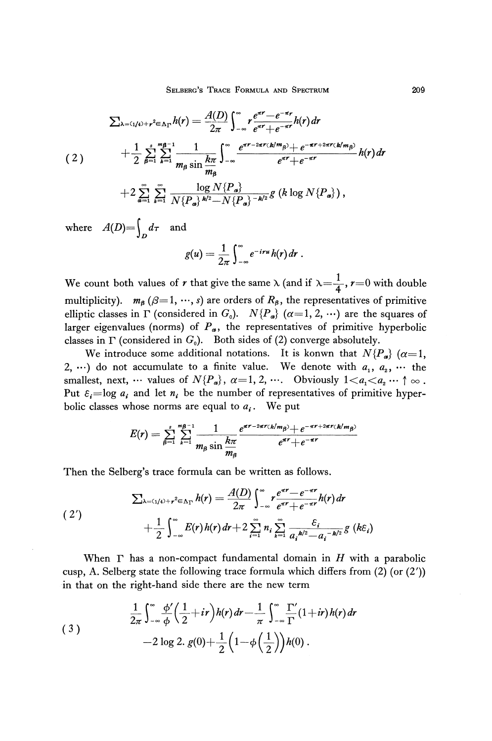$$
\sum_{\lambda=(1/4)+r^2\in\Lambda_{\Gamma}}h(r)=\frac{A(D)}{2\pi}\int_{-\infty}^{\infty}r\frac{e^{\pi r}-e^{-\pi r}}{e^{\pi r}+e^{-\pi r}}h(r)dr
$$
\n
$$
+\frac{1}{2}\sum_{\beta=1}^{s}\sum_{k=1}^{m\beta-1}\frac{1}{m_{\beta}\sin\frac{k\pi}{m_{\beta}}}\int_{-\infty}^{\infty}\frac{e^{\pi r-2\pi r(k/m_{\beta})}+e^{-\pi r+2\pi r(k/m_{\beta})}}{e^{\pi r}+e^{-\pi r}}h(r)dr
$$
\n
$$
+2\sum_{\alpha=1}^{\infty}\sum_{k=1}^{\infty}\frac{\log N\{P_{\alpha}\}}{N\{P_{\alpha}\}^{k/2}-N\{P_{\alpha}\}^{-k/2}}g\left(k\log N\{P_{\alpha}\}\right),
$$

where  $A(D)=\int_D d\tau$  and

$$
g(u) = \frac{1}{2\pi} \int_{-\infty}^{\infty} e^{-iru} h(r) dr.
$$

We count both values of r that give the same  $\lambda$  (and if  $\lambda = \frac{1}{4}$ , r=0 with double multiplicity).  $m_\beta$  ( $\beta = 1, \dots, s$ ) are orders of  $R_\beta$ , the representatives of primitive elliptic classes in  $\Gamma$  (considered in  $G_0$ ).  $N\{P_a\}$   $(\alpha=1,2,\,\cdots)$  are the squares of larger eigenvalues (norms) of *P<sup>a</sup> ,* the representatives of primitive hyperbolic classes in  $\Gamma$  (considered in  $G_0$ ). Both sides of (2) converge absolutely.

We introduce some additional notations. It is konwn that  $N\{P_{\alpha}\}\; (\alpha=1)$ 2,  $\cdots$ ) do not accumulate to a finite value. We denote with  $a_1, a_2, \cdots$  the smallest, next,  $\cdots$  values of  $N\{P_a\}$ ,  $\alpha = 1, 2, \cdots$ . Obviously  $1 < a_1 < a_2 \cdots \uparrow \infty$ . Put  $\varepsilon_i = \log a_i$  and let  $n_i$  be the number of representatives of primitive hyper bolic classes whose norms are equal to *a<sup>t</sup>* . We put

$$
E(r) = \sum_{\beta=1}^s \sum_{k=1}^{m\beta-1} \frac{1}{m_\beta \sin \frac{k\pi}{m_\beta}} \frac{e^{\pi r - 2\pi r(k/m_\beta)} + e^{-\pi r + 2\pi r(k/m_\beta)}}{e^{\pi r} + e^{-\pi r}}
$$

Then the Selberg's trace formula can be written as follows.

$$
\sum_{\lambda=(1/4)+r^2\in\Lambda_{\Gamma}}h(r)=\frac{A(D)}{2\pi}\int_{-\infty}^{\infty}r\frac{e^{\pi r}-e^{-\pi r}}{e^{\pi r}+e^{-\pi r}}h(r)dr+\frac{1}{2}\int_{-\infty}^{\infty}E(r)h(r)dr+2\sum_{i=1}^{\infty}n_i\sum_{k=1}^{\infty}\frac{\varepsilon_i}{a_i^{k/2}-a_i^{-k/2}}g(k\varepsilon_i)
$$

When Γ has a non-compact fundamental domain in *H* with a parabolic cusp, A. Selberg state the following trace formula which differs from  $(2)$  (or  $(2')$ ) in that on the right-hand side there are the new term

(3)  

$$
\frac{1}{2\pi}\int_{-\infty}^{\infty}\frac{\phi'}{\phi}\left(\frac{1}{2}+ir\right)h(r) dr - \frac{1}{\pi}\int_{-\infty}^{\infty}\frac{\Gamma'}{\Gamma}(1+ir)h(r) dr - 2\log 2.\ g(0) + \frac{1}{2}\left(1-\phi\left(\frac{1}{2}\right)\right)h(0).
$$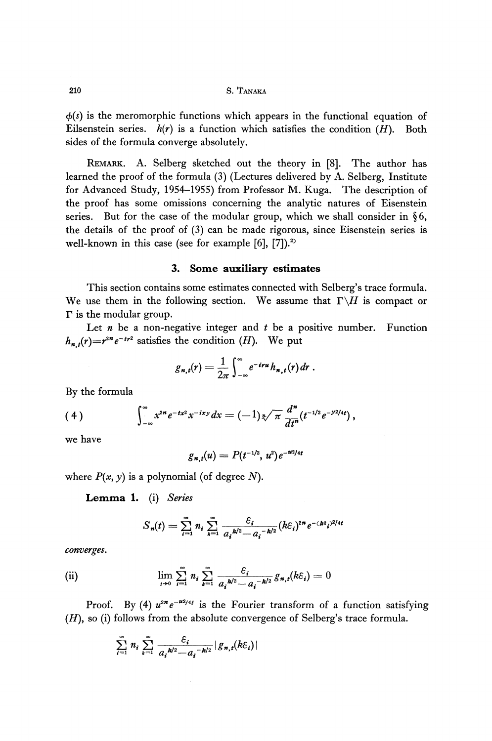*φ(s)* is the meromorphic functions which appears in the functional equation of Eilsenstein series.  $h(r)$  is a function which satisfies the condition  $(H)$ . Both sides of the formula converge absolutely.

REMARK. A. Selberg sketched out the theory in [8]. The author has learned the proof of the formula (3) (Lectures delivered by A. Selberg, Institute for Advanced Study, 1954-1955) from Professor M. Kuga. The description of the proof has some omissions concerning the analytic natures of Eisenstein series. But for the case of the modular group, which we shall consider in  $\S6$ , the details of the proof of (3) can be made rigorous, since Eisenstein series is well-known in this case (see for example  $[6]$ ,  $[7]$ ).<sup>2)</sup>

## 3. Some **auxiliary estimates**

This section contains some estimates connected with Selberg's trace formula. We use them in the following section. We assume that  $\Gamma \backslash H$  is compact or  $\Gamma$  is the modular group.

Let *n* be a non-negative integer and  $t$  be a positive number. Function  $h_{n,t}(r) = r^{2n} e^{-tr^2}$  satisfies the condition *(H)*. We put

$$
g_{n,t}(r) = \frac{1}{2\pi} \int_{-\infty}^{\infty} e^{-iru} h_{n,t}(r) dr.
$$

By the formula

$$
(4) \qquad \qquad \int_{-\infty}^{\infty} x^{2n} e^{-tx^2} x^{-ixy} dx = (-1) \sqrt[3]{\pi} \frac{d^n}{dt^n} (t^{-1/2} e^{-y^2/4t}),
$$

we have

$$
g_{n,t}(u) = P(t^{-1/2}, u^2) e^{-u^2/4t}
$$

where  $P(x, y)$  is a polynomial (of degree N).

Lemma 1. (i) *Series*

$$
S_n(t) = \sum_{i=1}^{\infty} n_i \sum_{k=1}^{\infty} \frac{\varepsilon_i}{a_i^{k/2} - a_i^{-k/2}} (k \varepsilon_i)^{2n} e^{-(k \varepsilon_i)^{2/4t}}
$$

*converges.*

(ii) 
$$
\lim_{t \to 0} \sum_{i=1}^{\infty} n_i \sum_{k=1}^{\infty} \frac{\varepsilon_i}{a_i^{k/2} - a_i^{-k/2}} g_{n,t}(k\varepsilon_i) = 0
$$

Proof. By (4)  $u^{2n}e^{-u^{2}/4t}$  is the Fourier transform of a function satisfying *(H),* so (i) follows from the absolute convergence of Selberg's trace formula.

$$
\sum_{i=1}^{\infty} n_i \sum_{k=1}^{\infty} \frac{\varepsilon_i}{a_i^{k/2} - a_i^{-k/2}} |g_{n,t}(k \varepsilon_i)|
$$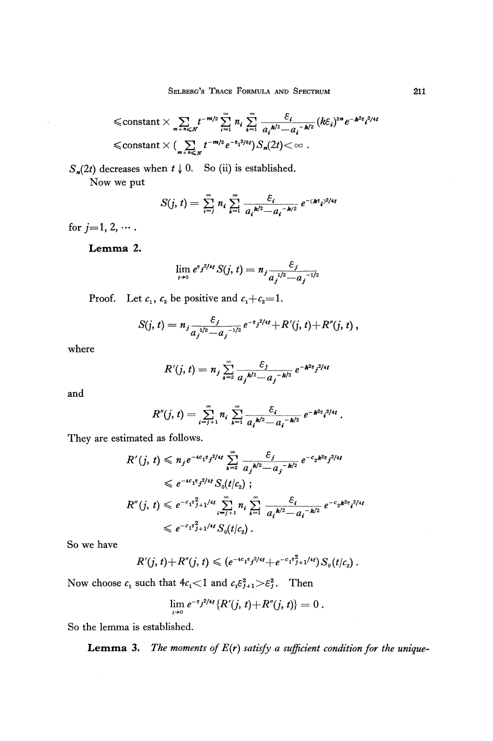$$
\leq \text{constant} \times \sum_{m+n \leq N} t^{-m/2} \sum_{i=1}^{\infty} n_i \sum_{k=1}^{\infty} \frac{\varepsilon_i}{a_i^{k/2} - a_i^{-k/2}} (k \varepsilon_i)^{2n} e^{-k^2 \varepsilon_i^{2/4}}
$$
  

$$
\leq \text{constant} \times (\sum_{m+n \leq N} t^{-m/2} e^{-\varepsilon_1^{2/8} t}) S_n(2t) < \infty.
$$

 $S_n(2t)$  decreases when  $t \downarrow 0$ . So (ii) is established.

Now we put

$$
S(j, t) = \sum_{i=1}^{\infty} n_i \sum_{k=1}^{\infty} \frac{\varepsilon_i}{a_i^{k/2} - a_i^{-k/2}} e^{-(k^2 t)^{2/4t}}
$$

for  $j = 1, 2, \cdots$ .

Lemma 2.

$$
\lim_{t\to 0} e^{e_j^2/4t} S(j, t) = n_j \frac{\varepsilon_j}{a_j^{1/2} - a_j^{-1/2}}
$$

Proof. Let  $c_1$ ,  $c_2$  be positive and

$$
S(j, t) = n_j \frac{\varepsilon_j}{a_j^{1/2} - a_j^{-1/2}} e^{-\varepsilon_j^{2/4}t} + R'(j, t) + R''(j, t) ,
$$

where

$$
R'(j,t) = n_j \sum_{k=2}^{\infty} \frac{\varepsilon_j}{a_j^{k/2} - a_j^{-k/2}} e^{-k^{2} \varepsilon_j^{2/4t}}
$$

and

$$
R''(j, t) = \sum_{i=j+1}^{\infty} n_i \sum_{k=1}^{\infty} \frac{\varepsilon_i}{a_i^{k/2} - a_i^{-k/2}} e^{-k^2 \varepsilon_i^{2/4t}}
$$

They are estimated as follows.

$$
R'(j, t) \leq n_j e^{-4c_1 t_j^2/4t} \sum_{k=2}^{\infty} \frac{\varepsilon_j}{a_j k^{2} - a_j^{-k/2}} e^{-c_2 k^{2} \varepsilon_j^{2/4t}}
$$
  
\n
$$
\leq e^{-4c_1 t_j^2/4t} S_0(t/c_2) ;
$$
  
\n
$$
R''(j, t) \leq e^{-c_1 t_j^2} H^{1/4t} \sum_{i=j+1}^{\infty} n_i \sum_{k=1}^{\infty} \frac{\varepsilon_i}{a_i k^{2} - a_i^{-k/2}} e^{-c_2 k^{2} t_j^{2/4t}}
$$
  
\n
$$
\leq e^{-c_1 t_j^2} H^{1/4t} S_0(t/c_2) .
$$

So we have

$$
R'(j,t)+R''(j,t)\leqslant (e^{-4c_1t}j^{2/4t}+e^{-c_1t^2}j^{2+1/4t})S_0(t/c_2).
$$

Now choose  $c_1$  such that  $4c_1 < 1$  and  $c_1 \varepsilon_{j+1}^2 > \varepsilon_j^2$ . Then

$$
\lim_{t\to 0}e^{-\epsilon_j^2/4t}\left\{R'(j, t)+R''(j, t)\right\}=0.
$$

So the lemma is established.

Lemma 3. *The moments of E(r) satisfy a sufficient condition for the unique-*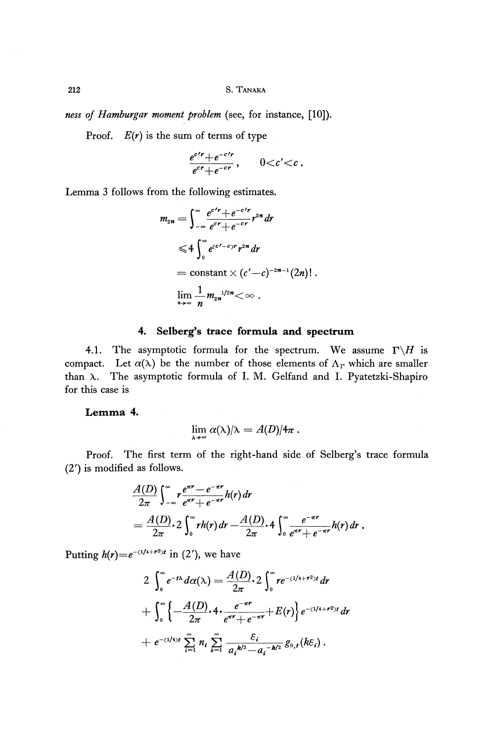**212 S. TANAKA**

*ness of Hamburgar moment problem* (see, for instance, [10]).

Proof.  $E(r)$  is the sum of terms of type

$$
\frac{e^{c\prime r}+e^{-c\prime r}}{e^{cr}+e^{-cr}},\qquad 0
$$

Lemma 3 follows from the following estimates.

$$
m_{2n} = \int_{-\infty}^{\infty} \frac{e^{c'r} + e^{-c'r}}{e^{cr} + e^{-cr}} r^{2n} dr
$$
  
\n
$$
\leq 4 \int_{0}^{\infty} e^{(c'-c)r} r^{2n} dr
$$
  
\n
$$
= \text{constant} \times (c'-c)^{-2n-1} (2n) ! .
$$
  
\n
$$
\lim_{n \to \infty} \frac{1}{n} m_{2n}^{1/2n} < \infty .
$$

#### **4. Selberg's trace formula and spectrum**

4.1. The asymptotic formula for the spectrum. We assume  $\Gamma \backslash H$  is compact. Let  $\alpha(\lambda)$  be the number of those elements of  $\Lambda_{\Gamma}$  which are smaller than λ. The asymptotic formula of I. M. Gelfand and I. Pyatetzki-Shapiro for this case is

**Lemma** 4.

$$
\lim \alpha(\lambda)/\lambda = A(D)/4\pi.
$$

Proof. The first term of the right-hand side of Selberg's trace formula (2') is modified as follows.

$$
\frac{A(D)}{2\pi}\int_{-\infty}^{\infty} r \frac{e^{\pi r} - e^{-\pi r}}{e^{\pi r} + e^{-\pi r}} h(r) dr
$$
\n
$$
= \frac{A(D)}{2\pi} \cdot 2 \int_{0}^{\infty} rh(r) dr - \frac{A(D)}{2\pi} \cdot 4 \int_{0}^{\infty} \frac{e^{-\pi r}}{e^{\pi r} + e^{-\pi r}} h(r) dr.
$$

Putting  $h(r) = e^{-(1/4 + r^2)t}$  in (2'), we have

$$
2 \int_0^{\infty} e^{-t\lambda} d\alpha(\lambda) = \frac{A(D)}{2\pi} \cdot 2 \int_0^{\infty} r e^{-(1/4+r^2)t} dr
$$
  
+ 
$$
\int_0^{\infty} \left\{ -\frac{A(D)}{2\pi} \cdot 4 \cdot \frac{e^{-\pi r}}{e^{\pi r} + e^{-\pi r}} + E(r) \right\} e^{-(1/4+r^2)t} dr
$$
  
+ 
$$
e^{-(1/4)t} \sum_{i=1}^{\infty} n_i \sum_{k=1}^{\infty} \frac{\varepsilon_i}{a_i^{k/2} - a_i^{-k/2}} g_{0,t}(k\varepsilon_i).
$$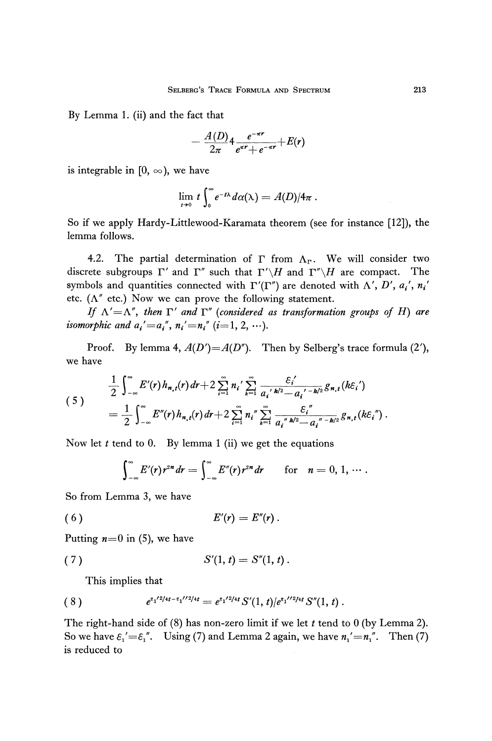By Lemma 1. (ii) and the fact that

$$
-\frac{A(D)}{2\pi}4\frac{e^{-\pi r}}{e^{\pi r}+e^{-\pi r}}+E(r)
$$

is integrable in [0,  $\infty$ ), we have

$$
\lim_{t\to 0} t\int_0^\infty e^{-t\lambda} d\alpha(\lambda) = A(D)/4\pi.
$$

So if we apply Hardy-Littlewood-Karamata theorem (see for instance [12]), the lemma follows.

4.2. The partial determination of  $\Gamma$  from  $\Lambda_{\Gamma}$ . We will consider two discrete subgroups  $\Gamma'$  and  $\Gamma''$  such that  $\Gamma'\backslash H$  and  $\Gamma''\backslash H$  are compact. The symbols and quantities connected with  $\Gamma'(\Gamma'')$  are denoted with  $\Lambda', D', a_i', n_i'$ etc.  $(\Lambda''$  etc.) Now we can prove the following statement.

*If*  $\Lambda' = \Lambda''$ , then  $\Gamma'$  and  $\Gamma''$  (considered as transformation groups of H) are *isomorphic and*  $a_i' = a_i''$ *,*  $n_i' = n_i''$  $(i=1, 2, \dots)$ *.* 

Proof. By lemma 4,  $A(D') = A(D'')$ . Then by Selberg's trace formula (2'), we have

$$
\frac{1}{2}\int_{-\infty}^{\infty}E'(r)h_{n,t}(r)dr+2\sum_{i=1}^{\infty}n_{i}'\sum_{k=1}^{\infty}\frac{\varepsilon_{i}'}{a_{i}{}'k^{2}-a_{i}{}'{}^{-k/2}}g_{n,t}(k\varepsilon_{i}')
$$
\n
$$
=\frac{1}{2}\int_{-\infty}^{\infty}E''(r)h_{n,t}(r)dr+2\sum_{i=1}^{\infty}n_{i}{}''\sum_{k=1}^{\infty}\frac{\varepsilon_{i}{}''}{a_{i}{}''k^{2}-a_{i}{}''^{-k/2}}g_{n,t}(k\varepsilon_{i}{}'').
$$

Now let *t* tend to 0. By lemma 1 (ii) we get the equations

$$
\int_{-\infty}^{\infty} E'(r) r^{2n} dr = \int_{-\infty}^{\infty} E''(r) r^{2n} dr \quad \text{for} \quad n = 0, 1, \cdots.
$$

So from Lemma 3, we have

$$
(6) \t\t\t E'(r) = E''(r).
$$

Putting *n=0* in (5), we have

(7) 
$$
S'(1, t) = S''(1, t).
$$

This implies that

$$
(8) \t e^{s_1/2/4t - s_1/72/4t} = e^{s_1/2/4t} S'(1, t) / e^{s_1/72/4t} S''(1, t).
$$

The right-hand side of (8) has non-zero limit if we let *t* tend to 0 (by Lemma 2). So we have  $\varepsilon_1' = \varepsilon_1''$ . Using (7) and Lemma 2 again, we have  $n_1' = n_1''$ . Then (7) is reduced to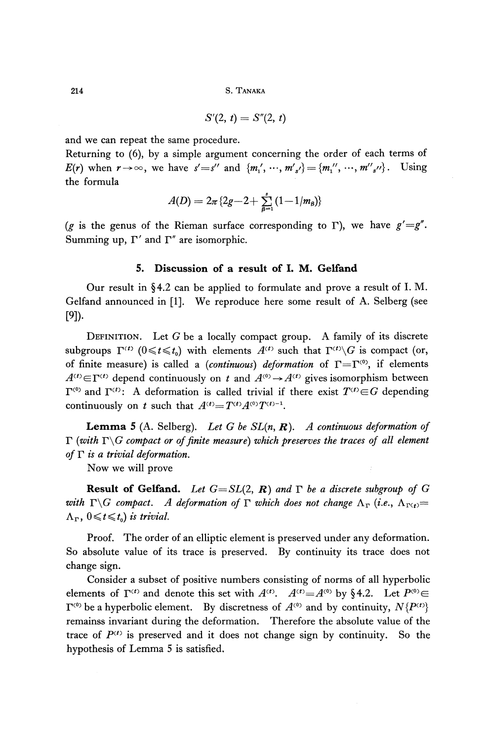$$
S'(2, t) = S''(2, t)
$$

and we can repeat the same procedure.

Returning to (6), by a simple argument concerning the order of each terms of  $E(r)$  when  $r \rightarrow \infty$ , we have  $s' = s''$  and  $\{m'_1, \dots, m'_{s'}\} = \{m''_1, \dots, m''_{s''}\}.$  Using the formula

$$
A(D) = 2\pi \{2g - 2 + \sum_{\beta=1}^{s} (1 - 1/m_{\beta})\}
$$

*(g* is the genus of the Rieman surface corresponding to Γ), we have *g'=g".* Summing up,  $\Gamma'$  and  $\Gamma''$  are isomorphic.

## **5. Discussion of a result of I. M. Gelfand**

Our result in §4.2 can be applied to formulate and prove a result of I. M. Gelfand announced in [1], We reproduce here some result of A. Selberg (see [9])

DEFINITION. Let *G* be a locally compact group. A family of its discrete  $\sup$ groups  $\Gamma^{(t)}$   $(0 \leq t \leq t_0)$  with elements  $A^{(t)}$  such that  $\Gamma^{(t)} \backslash G$  is compact (or, of finite measure) is called a (*continuous*) *deformation* of  $\Gamma = \Gamma^{(0)}$ , if elements  $A^{(t)} \in \Gamma^{(t)}$  depend continuously on *t* and  $A^{(0)} \rightarrow A^{(t)}$  gives isomorphism between  $C^{(0)}$  and  $\Gamma^{(t)}$ : A deformation is called trivial if there exist  $T^{(t)} \in G$  depending continuously on *t* such that  $A^{(t)} = T^{(t)} A^{(0)} T^{(t)-1}$ .

**Lemma** 5 (A. Selberg). *Let G be SL(n, R). A continuous deformation of*  $\Gamma$  (with  $\Gamma \backslash G$  compact or of finite measure) which preserves the traces of all element *of* Γ *is a trivial deformation.*

Now we will prove

**Result of Gelfand.** *Let G=SL(2, R) and* Γ *be a discrete subgroup of G with*  $\Gamma \backslash G$  compact. A deformation of  $\Gamma$  which does not change  $\Lambda_{\Gamma}$  (i.e.,  $\Lambda_{\Gamma(t)} =$  $, 0 \leq t \leq t_0$  is trivial.

Proof. The order of an elliptic element is preserved under any deformation. So absolute value of its trace is preserved. By continuity its trace does not change sign.

Consider a subset of positive numbers consisting of norms of all hyperbolic elements of  $\Gamma^{(t)}$  and denote this set with  $A^{(t)}$ .  $A^{(t)} = A^{(0)}$  by §4.2. Let  $P^{(0)} \in$  $Y^{(0)}$  be a hyperbolic element. By discretness of  $A^{(0)}$  and by continuity,  $N\{P^{(t)}\}$ remainss invariant during the deformation. Therefore the absolute value of the trace of  $P^{(t)}$  is preserved and it does not change sign by continuity. So the hypothesis of Lemma 5 is satisfied.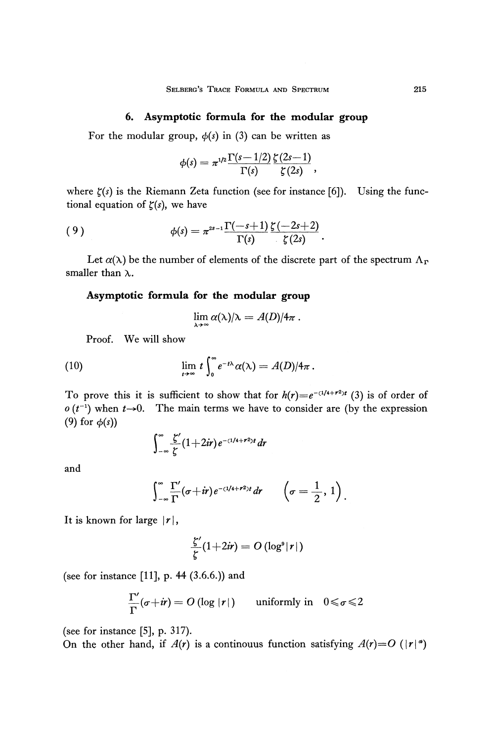## **6. Asymptotic formula for the modular group**

For the modular group,  $\phi(s)$  in (3) can be written as

$$
\phi(s)=\pi^{1/2}\frac{\Gamma(s-1/2)}{\Gamma(s)}\frac{\zeta(2s-1)}{\zeta(2s)},
$$

where  $\zeta(s)$  is the Riemann Zeta function (see for instance [6]). Using the functional equation of *ζ(s),* we have

(9) 
$$
\phi(s) = \pi^{2s-1} \frac{\Gamma(-s+1)}{\Gamma(s)} \frac{\zeta(-2s+2)}{\zeta(2s)}.
$$

Let  $\alpha(\lambda)$  be the number of elements of the discrete part of the spectrum  $\Lambda_{\rm P}$ smaller than  $\lambda$ .

## **Asymptotic formula for the modular group**

$$
\lim_{\lambda \to \infty} \alpha(\lambda)/\lambda = A(D)/4\pi.
$$

Proof. We will show

(10) 
$$
\lim_{t\to\infty} t \int_0^\infty e^{-t\lambda} \alpha(\lambda) = A(D)/4\pi.
$$

To prove this it is sufficient to show that for  $h(r) = e^{-(1/4+r^2)t}$  (3) is of order of  $o(t^{-1})$  when  $t\rightarrow 0$ . The main terms we have to consider are (by the expression (9) for *φ(s))*

$$
\int_{-\infty}^{\infty} \frac{\zeta'}{\zeta}(1+2ir)e^{-(1/4+r^2)t} dr
$$

and

$$
\int_{-\infty}^{\infty} \frac{\Gamma'}{\Gamma}(\sigma + i r) e^{-(1/4 + r^2)t} dr \qquad \left(\sigma = \frac{1}{2}, 1\right).
$$

It is known for large  $|r|$ ,

$$
\frac{\zeta'}{\zeta}(1+2ir) = O\left(\log^s |r|\right)
$$

(see for instance [11], p. 44  $(3.6.6.)$ ) and

$$
\frac{\Gamma'}{\Gamma}(\sigma+i r) = O\left(\log |r|\right) \quad \text{ uniformly in} \quad 0 \leqslant \sigma \leqslant 2
$$

(see for instance [5], p. 317).

On the other hand, if  $A(r)$  is a continouus function satisfying  $A(r)=O(|r|^{\alpha})$